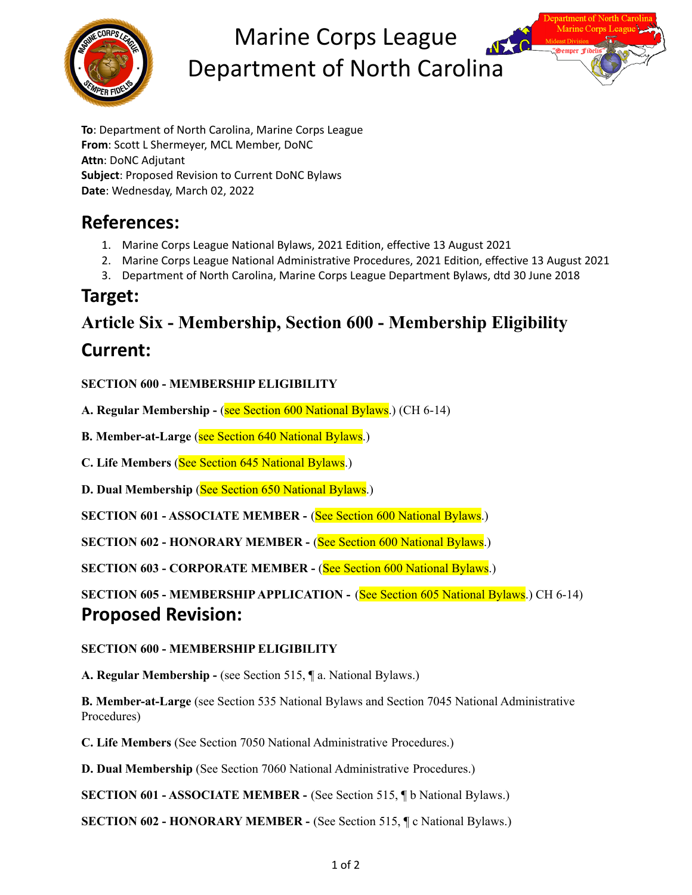

# Marine Corps League Department of North Carolina



**To**: Department of North Carolina, Marine Corps League **From**: Scott L Shermeyer, MCL Member, DoNC **Attn**: DoNC Adjutant **Subject**: Proposed Revision to Current DoNC Bylaws **Date**: Wednesday, March 02, 2022

## **References:**

- 1. Marine Corps League National Bylaws, 2021 Edition, effective 13 August 2021
- 2. Marine Corps League National Administrative Procedures, 2021 Edition, effective 13 August 2021
- 3. Department of North Carolina, Marine Corps League Department Bylaws, dtd 30 June 2018

### **Target:**

# **Article Six - Membership, Section 600 - Membership Eligibility**

### **Current:**

**SECTION 600 - MEMBERSHIP ELIGIBILITY**

**A. Regular Membership -** (see Section 600 National Bylaws.) (CH 6-14)

**B. Member-at-Large** (see Section 640 National Bylaws.)

**C. Life Members** (See Section 645 National Bylaws.)

**D. Dual Membership** (See Section 650 National Bylaws.)

**SECTION 601 - ASSOCIATE MEMBER -** (See Section 600 National Bylaws.)

**SECTION 602 - HONORARY MEMBER -** (See Section 600 National Bylaws.)

**SECTION 603 - CORPORATE MEMBER -** (See Section 600 National Bylaws.)

**SECTION 605 - MEMBERSHIP APPLICATION - (See Section 605 National Bylaws.) CH 6-14) Proposed Revision:**

#### **SECTION 600 - MEMBERSHIP ELIGIBILITY**

**A. Regular Membership -** (see Section 515, ¶ a. National Bylaws.)

**B. Member-at-Large** (see Section 535 National Bylaws and Section 7045 National Administrative Procedures)

**C. Life Members** (See Section 7050 National Administrative Procedures.)

**D. Dual Membership** (See Section 7060 National Administrative Procedures.)

**SECTION 601 - ASSOCIATE MEMBER -** (See Section 515, ¶ b National Bylaws.)

**SECTION 602 - HONORARY MEMBER -** (See Section 515, ¶ c National Bylaws.)